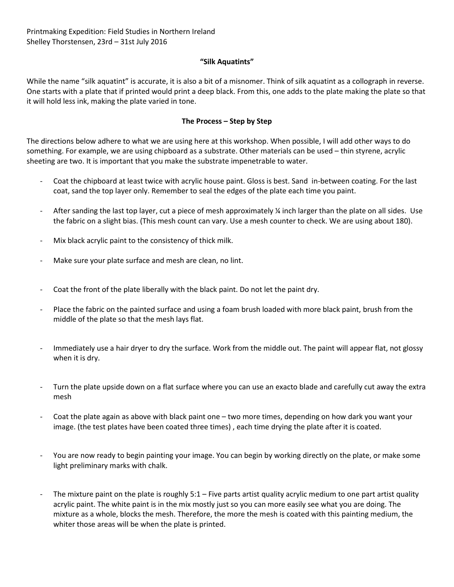## **"Silk Aquatints"**

While the name "silk aquatint" is accurate, it is also a bit of a misnomer. Think of silk aquatint as a collograph in reverse. One starts with a plate that if printed would print a deep black. From this, one adds to the plate making the plate so that it will hold less ink, making the plate varied in tone.

## **The Process – Step by Step**

The directions below adhere to what we are using here at this workshop. When possible, I will add other ways to do something. For example, we are using chipboard as a substrate. Other materials can be used – thin styrene, acrylic sheeting are two. It is important that you make the substrate impenetrable to water.

- Coat the chipboard at least twice with acrylic house paint. Gloss is best. Sand in-between coating. For the last coat, sand the top layer only. Remember to seal the edges of the plate each time you paint.
- After sanding the last top layer, cut a piece of mesh approximately ¼ inch larger than the plate on all sides. Use the fabric on a slight bias. (This mesh count can vary. Use a mesh counter to check. We are using about 180).
- Mix black acrylic paint to the consistency of thick milk.
- Make sure your plate surface and mesh are clean, no lint.
- Coat the front of the plate liberally with the black paint. Do not let the paint dry.
- Place the fabric on the painted surface and using a foam brush loaded with more black paint, brush from the middle of the plate so that the mesh lays flat.
- Immediately use a hair dryer to dry the surface. Work from the middle out. The paint will appear flat, not glossy when it is dry.
- Turn the plate upside down on a flat surface where you can use an exacto blade and carefully cut away the extra mesh
- Coat the plate again as above with black paint one two more times, depending on how dark you want your image. (the test plates have been coated three times) , each time drying the plate after it is coated.
- You are now ready to begin painting your image. You can begin by working directly on the plate, or make some light preliminary marks with chalk.
- The mixture paint on the plate is roughly 5:1 Five parts artist quality acrylic medium to one part artist quality acrylic paint. The white paint is in the mix mostly just so you can more easily see what you are doing. The mixture as a whole, blocks the mesh. Therefore, the more the mesh is coated with this painting medium, the whiter those areas will be when the plate is printed.